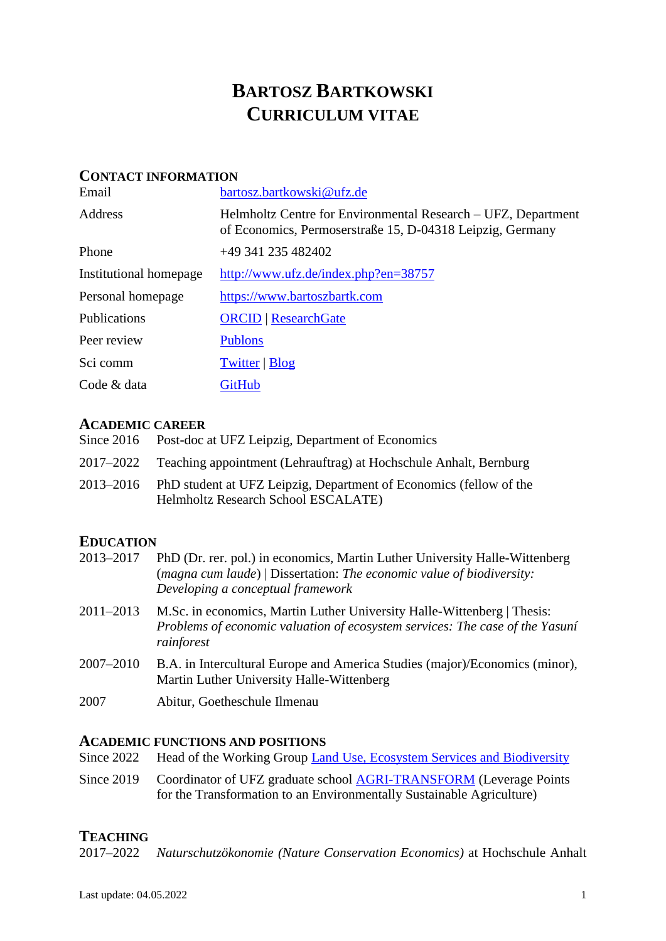# **BARTOSZ BARTKOWSKI CURRICULUM VITAE**

## **CONTACT INFORMATION**

| Email                  | bartosz.bartkowski@ufz.de                                                                                                  |
|------------------------|----------------------------------------------------------------------------------------------------------------------------|
| Address                | Helmholtz Centre for Environmental Research – UFZ, Department<br>of Economics, Permoserstraße 15, D-04318 Leipzig, Germany |
| Phone                  | +49 341 235 482402                                                                                                         |
| Institutional homepage | http://www.ufz.de/index.php?en=38757                                                                                       |
| Personal homepage      | https://www.bartoszbartk.com                                                                                               |
| Publications           | <b>ORCID</b>   ResearchGate                                                                                                |
| Peer review            | <b>Publons</b>                                                                                                             |
| Sci comm               | <b>Twitter</b>   <b>Blog</b>                                                                                               |
| Code & data            | GitHub                                                                                                                     |

# **ACADEMIC CAREER**

| Since 2016 Post-doc at UFZ Leipzig, Department of Economics                                                         |
|---------------------------------------------------------------------------------------------------------------------|
| 2017–2022 Teaching appointment (Lehrauftrag) at Hochschule Anhalt, Bernburg                                         |
| 2013–2016 PhD student at UFZ Leipzig, Department of Economics (fellow of the<br>Helmholtz Research School ESCALATE) |

# **EDUCATION**

| 2013-2017 | PhD (Dr. rer. pol.) in economics, Martin Luther University Halle-Wittenberg<br>(magna cum laude)   Dissertation: The economic value of biodiversity:<br>Developing a conceptual framework |
|-----------|-------------------------------------------------------------------------------------------------------------------------------------------------------------------------------------------|
| 2011–2013 | M.Sc. in economics, Martin Luther University Halle-Wittenberg   Thesis:<br>Problems of economic valuation of ecosystem services: The case of the Yasuní<br>rainforest                     |
| 2007–2010 | B.A. in Intercultural Europe and America Studies (major)/Economics (minor),<br>Martin Luther University Halle-Wittenberg                                                                  |
| 2007      | Abitur, Goetheschule Ilmenau                                                                                                                                                              |

#### **ACADEMIC FUNCTIONS AND POSITIONS**

| Since 2022 Head of the Working Group Land Use, Ecosystem Services and Biodiversity |  |  |  |  |  |
|------------------------------------------------------------------------------------|--|--|--|--|--|
|                                                                                    |  |  |  |  |  |

Since 2019 Coordinator of UFZ graduate school [AGRI-TRANSFORM](https://www.ufz.de/index.php?en=46717) (Leverage Points for the Transformation to an Environmentally Sustainable Agriculture)

# **TEACHING**

2017–2022 *Naturschutzökonomie (Nature Conservation Economics)* at Hochschule Anhalt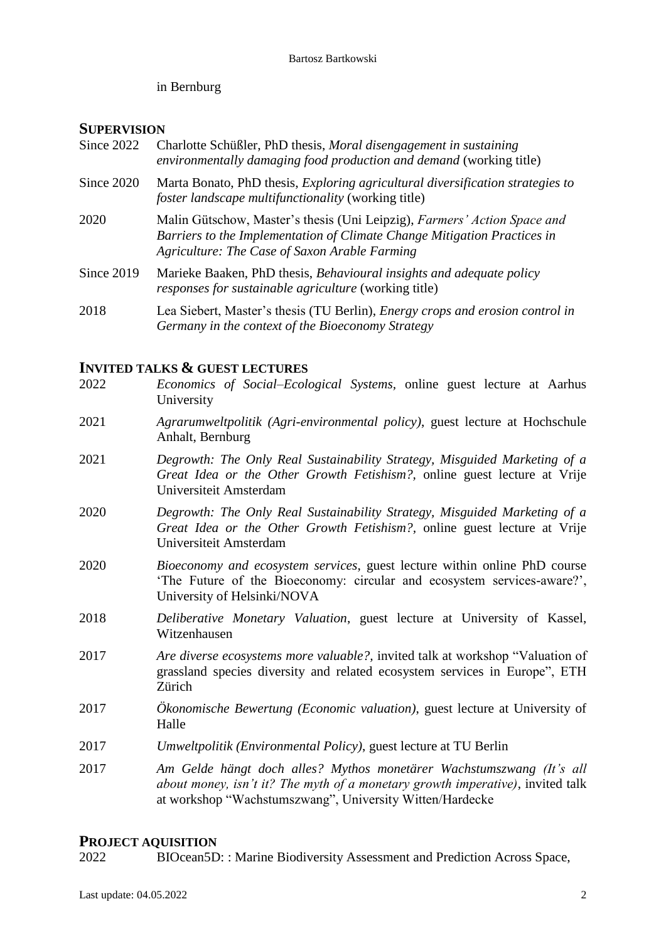in Bernburg

# **SUPERVISION**

| Since 2022 | Charlotte Schüßler, PhD thesis, Moral disengagement in sustaining<br><i>environmentally damaging food production and demand</i> (working title)                                                       |
|------------|-------------------------------------------------------------------------------------------------------------------------------------------------------------------------------------------------------|
| Since 2020 | Marta Bonato, PhD thesis, <i>Exploring agricultural diversification strategies to</i><br><i>foster landscape multifunctionality</i> (working title)                                                   |
| 2020       | Malin Gütschow, Master's thesis (Uni Leipzig), Farmers' Action Space and<br>Barriers to the Implementation of Climate Change Mitigation Practices in<br>Agriculture: The Case of Saxon Arable Farming |
| Since 2019 | Marieke Baaken, PhD thesis, Behavioural insights and adequate policy<br><i>responses for sustainable agriculture</i> (working title)                                                                  |
| 2018       | Lea Siebert, Master's thesis (TU Berlin), <i>Energy crops and erosion control in</i><br>Germany in the context of the Bioeconomy Strategy                                                             |

# **INVITED TALKS & GUEST LECTURES**

| 2022 | Economics of Social–Ecological Systems, online guest lecture at Aarhus<br>University                                                                                                                               |
|------|--------------------------------------------------------------------------------------------------------------------------------------------------------------------------------------------------------------------|
| 2021 | Agrarumweltpolitik (Agri-environmental policy), guest lecture at Hochschule<br>Anhalt, Bernburg                                                                                                                    |
| 2021 | Degrowth: The Only Real Sustainability Strategy, Misguided Marketing of a<br>Great Idea or the Other Growth Fetishism?, online guest lecture at Vrije<br>Universiteit Amsterdam                                    |
| 2020 | Degrowth: The Only Real Sustainability Strategy, Misguided Marketing of a<br>Great Idea or the Other Growth Fetishism?, online guest lecture at Vrije<br>Universiteit Amsterdam                                    |
| 2020 | Bioeconomy and ecosystem services, guest lecture within online PhD course<br>'The Future of the Bioeconomy: circular and ecosystem services-aware?',<br>University of Helsinki/NOVA                                |
| 2018 | Deliberative Monetary Valuation, guest lecture at University of Kassel,<br>Witzenhausen                                                                                                                            |
| 2017 | <i>Are diverse ecosystems more valuable?</i> , invited talk at workshop "Valuation of<br>grassland species diversity and related ecosystem services in Europe", ETH<br>Zürich                                      |
| 2017 | <i>Okonomische Bewertung (Economic valuation)</i> , guest lecture at University of<br>Halle                                                                                                                        |
| 2017 | Umweltpolitik (Environmental Policy), guest lecture at TU Berlin                                                                                                                                                   |
| 2017 | Am Gelde hängt doch alles? Mythos monetärer Wachstumszwang (It's all<br>about money, isn't it? The myth of a monetary growth imperative), invited talk<br>at workshop "Wachstumszwang", University Witten/Hardecke |

# **PROJECT AQUISITION**

2022 BIOcean5D: : Marine Biodiversity Assessment and Prediction Across Space,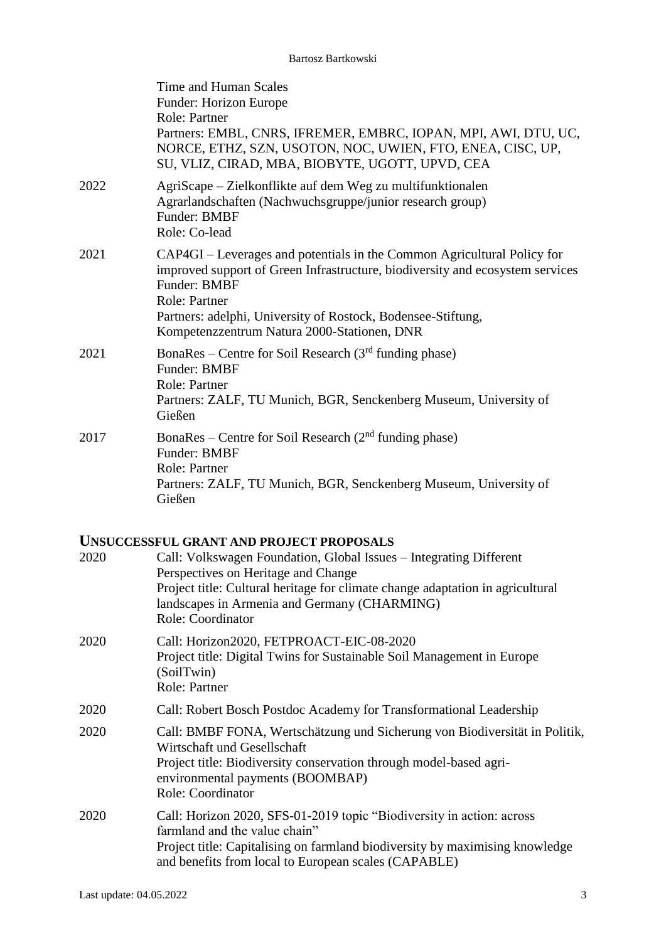|      | Time and Human Scales<br>Funder: Horizon Europe<br>Role: Partner<br>Partners: EMBL, CNRS, IFREMER, EMBRC, IOPAN, MPI, AWI, DTU, UC,<br>NORCE, ETHZ, SZN, USOTON, NOC, UWIEN, FTO, ENEA, CISC, UP,<br>SU, VLIZ, CIRAD, MBA, BIOBYTE, UGOTT, UPVD, CEA                                                            |
|------|-----------------------------------------------------------------------------------------------------------------------------------------------------------------------------------------------------------------------------------------------------------------------------------------------------------------|
| 2022 | AgriScape – Zielkonflikte auf dem Weg zu multifunktionalen<br>Agrarlandschaften (Nachwuchsgruppe/junior research group)<br>Funder: BMBF<br>Role: Co-lead                                                                                                                                                        |
| 2021 | CAP4GI – Leverages and potentials in the Common Agricultural Policy for<br>improved support of Green Infrastructure, biodiversity and ecosystem services<br>Funder: BMBF<br><b>Role: Partner</b><br>Partners: adelphi, University of Rostock, Bodensee-Stiftung,<br>Kompetenzzentrum Natura 2000-Stationen, DNR |
| 2021 | BonaRes – Centre for Soil Research $(3rd$ funding phase)<br>Funder: BMBF<br>Role: Partner<br>Partners: ZALF, TU Munich, BGR, Senckenberg Museum, University of<br>Gießen                                                                                                                                        |
| 2017 | BonaRes – Centre for Soil Research $(2nd$ funding phase)<br>Funder: BMBF<br>Role: Partner<br>Partners: ZALF, TU Munich, BGR, Senckenberg Museum, University of<br>Gießen                                                                                                                                        |
|      | <b>UNSUCCESSFUL GRANT AND PROJECT PROPOSALS</b>                                                                                                                                                                                                                                                                 |

|      | UNSUCCESSI UL GIVAN I AND I ROJECT I ROI OSALS                                                                                                                                                                                                                   |
|------|------------------------------------------------------------------------------------------------------------------------------------------------------------------------------------------------------------------------------------------------------------------|
| 2020 | Call: Volkswagen Foundation, Global Issues – Integrating Different<br>Perspectives on Heritage and Change<br>Project title: Cultural heritage for climate change adaptation in agricultural<br>landscapes in Armenia and Germany (CHARMING)<br>Role: Coordinator |
| 2020 | Call: Horizon2020, FETPROACT-EIC-08-2020<br>Project title: Digital Twins for Sustainable Soil Management in Europe<br>(SoilTwin)<br>Role: Partner                                                                                                                |
| 2020 | Call: Robert Bosch Postdoc Academy for Transformational Leadership                                                                                                                                                                                               |
| 2020 | Call: BMBF FONA, Wertschätzung und Sicherung von Biodiversität in Politik,<br>Wirtschaft und Gesellschaft<br>Project title: Biodiversity conservation through model-based agri-<br>environmental payments (BOOMBAP)<br>Role: Coordinator                         |
| 2020 | Call: Horizon 2020, SFS-01-2019 topic "Biodiversity in action: across<br>farmland and the value chain"<br>Project title: Capitalising on farmland biodiversity by maximising knowledge<br>and benefits from local to European scales (CAPABLE)                   |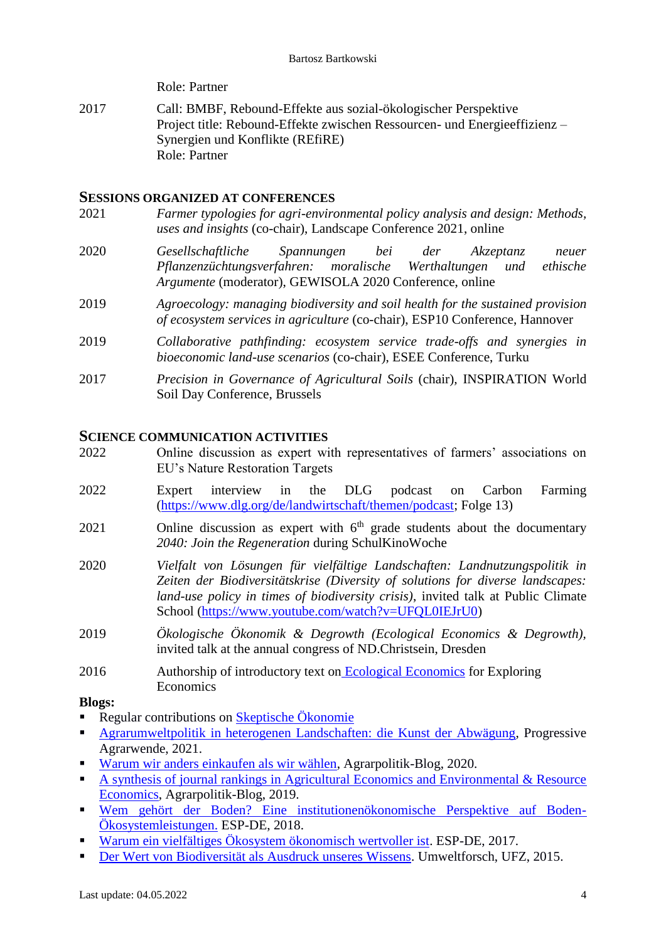Role: Partner

2017 Call: BMBF, Rebound-Effekte aus sozial-ökologischer Perspektive Project title: Rebound-Effekte zwischen Ressourcen- und Energieeffizienz – Synergien und Konflikte (REfiRE) Role: Partner

## **SESSIONS ORGANIZED AT CONFERENCES**

- 2021 *Farmer typologies for agri-environmental policy analysis and design: Methods, uses and insights* (co-chair), Landscape Conference 2021, online
- 2020 *Gesellschaftliche Spannungen bei der Akzeptanz neuer Pflanzenzüchtungsverfahren: moralische Werthaltungen und ethische Argumente* (moderator), GEWISOLA 2020 Conference, online
- 2019 *Agroecology: managing biodiversity and soil health for the sustained provision of ecosystem services in agriculture* (co-chair), ESP10 Conference, Hannover
- 2019 *Collaborative pathfinding: ecosystem service trade-offs and synergies in bioeconomic land-use scenarios* (co-chair), ESEE Conference, Turku
- 2017 *Precision in Governance of Agricultural Soils* (chair)*,* INSPIRATION World Soil Day Conference, Brussels

#### **SCIENCE COMMUNICATION ACTIVITIES**

- 2022 Online discussion as expert with representatives of farmers' associations on EU's Nature Restoration Targets
- 2022 Expert interview in the DLG podcast on Carbon Farming [\(https://www.dlg.org/de/landwirtschaft/themen/podcast;](https://www.dlg.org/de/landwirtschaft/themen/podcast) Folge 13)
- $2021$  Online discussion as expert with  $6<sup>th</sup>$  grade students about the documentary *2040: Join the Regeneration* during SchulKinoWoche
- 2020 *Vielfalt von Lösungen für vielfältige Landschaften: Landnutzungspolitik in Zeiten der Biodiversitätskrise (Diversity of solutions for diverse landscapes: land-use policy in times of biodiversity crisis)*, invited talk at Public Climate School [\(https://www.youtube.com/watch?v=UFQL0IEJrU0\)](https://www.youtube.com/watch?v=UFQL0IEJrU0)
- 2019 *Ökologische Ökonomik & Degrowth (Ecological Economics & Degrowth),* invited talk at the annual congress of ND.Christsein, Dresden
- 2016 Authorship of introductory text on [Ecological Economics](https://www.exploring-economics.com/en/orientation/ecological-economics/) for Exploring Economics

#### **Blogs:**

- Regular contributions on [Skeptische Ökonomie](https://skeptischeoekonomie.wordpress.com/)
- [Agrarumweltpolitik in heterogenen Landschaften: die Kunst der Abwägung,](https://progressive-agrarwende.org/agrarumweltpolitik/) Progressive Agrarwende, 2021.
- [Warum wir anders einkaufen als wir wählen,](https://agrarpolitik-blog.com/2020/03/06/warum-wir-anders-einkaufen-als-wir-waehlen/) Agrarpolitik-Blog, 2020.
- [A synthesis of journal rankings in Agricultural Economics and Environmental & Resource](https://agrarpolitik-blog.com/2019/01/18/a-synthesis-of-journal-rankings-in-agricultural-economics-and-environmental-resource-economics/)  [Economics,](https://agrarpolitik-blog.com/2019/01/18/a-synthesis-of-journal-rankings-in-agricultural-economics-and-environmental-resource-economics/) Agrarpolitik-Blog, 2019.
- [Wem gehört der Boden? Eine institutionenökonomische Perspektive auf Boden-](http://www.esp-de.de/wem-gehoert-der-boden/)[Ökosystemleistungen.](http://www.esp-de.de/wem-gehoert-der-boden/) ESP-DE, 2018.
- [Warum ein vielfältiges Ökosystem ökonomisch wertvoller ist.](http://www.esp-de.de/warum-ein-vielfaeltiges-oekosystem-oekonomisch-wertvoller-ist/) ESP-DE, 2017.
- [Der Wert von Biodiversität als Ausdruck unseres Wissens.](http://www.scilogs.de/umweltforsch/der-wert-biodiversitaet-ausdruck-unwissens/) Umweltforsch, UFZ, 2015.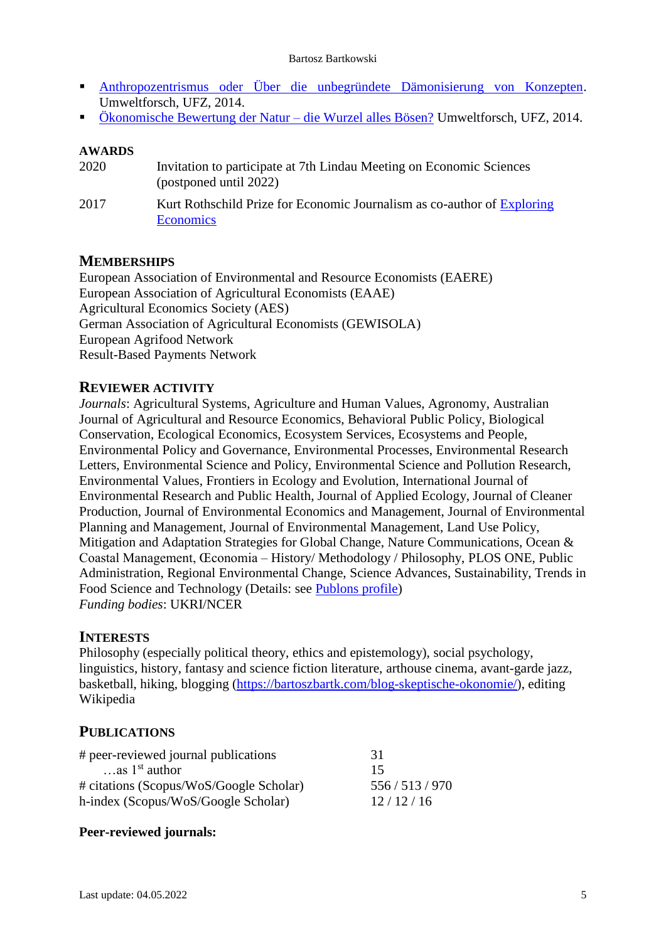#### Bartosz Bartkowski

- [Anthropozentrismus oder Über die unbegründete Dämonisierung von Konzepten.](http://www.scilogs.de/umweltforsch/anthropozentrismus-oder-ueber-die-unbegruendete-daemonisierung-von-konzepten/) Umweltforsch, UFZ, 2014.
- [Ökonomische Bewertung der Natur –](http://www.scilogs.de/umweltforsch/oekonomische-bewertung-natur-wurzel-boesen/) die Wurzel alles Bösen? Umweltforsch, UFZ, 2014.

#### **AWARDS**

2020 Invitation to participate at 7th Lindau Meeting on Economic Sciences (postponed until 2022) 2017 Kurt Rothschild Prize for Economic Journalism as co-author of [Exploring](https://www.exploring-economics.org/en/)  **[Economics](https://www.exploring-economics.org/en/)** 

## **MEMBERSHIPS**

European Association of Environmental and Resource Economists (EAERE) European Association of Agricultural Economists (EAAE) Agricultural Economics Society (AES) German Association of Agricultural Economists (GEWISOLA) European Agrifood Network Result-Based Payments Network

# **REVIEWER ACTIVITY**

*Journals*: Agricultural Systems, Agriculture and Human Values, Agronomy, Australian Journal of Agricultural and Resource Economics, Behavioral Public Policy, Biological Conservation, Ecological Economics, Ecosystem Services, Ecosystems and People, Environmental Policy and Governance, Environmental Processes, Environmental Research Letters, Environmental Science and Policy, Environmental Science and Pollution Research, Environmental Values, Frontiers in Ecology and Evolution, International Journal of Environmental Research and Public Health, Journal of Applied Ecology, Journal of Cleaner Production, Journal of Environmental Economics and Management, Journal of Environmental Planning and Management, Journal of Environmental Management, Land Use Policy, Mitigation and Adaptation Strategies for Global Change, Nature Communications, Ocean & Coastal Management, Œconomia – History/ Methodology / Philosophy, PLOS ONE, Public Administration, Regional Environmental Change, Science Advances, Sustainability, Trends in Food Science and Technology (Details: see [Publons profile\)](https://publons.com/author/1270943/bartosz-bartkowski#profile) *Funding bodies*: UKRI/NCER

#### **INTERESTS**

Philosophy (especially political theory, ethics and epistemology), social psychology, linguistics, history, fantasy and science fiction literature, arthouse cinema, avant-garde jazz, basketball, hiking, blogging [\(https://bartoszbartk.com/blog-skeptische-okonomie/\)](https://bartoszbartk.com/blog-skeptische-okonomie/), editing Wikipedia

#### **PUBLICATIONS**

| # peer-reviewed journal publications    | 31          |
|-----------------------------------------|-------------|
| $\ldots$ as $1^{\rm st}$ author         | 15          |
| # citations (Scopus/WoS/Google Scholar) | 556/513/970 |
| h-index (Scopus/WoS/Google Scholar)     | 12/12/16    |

#### **Peer-reviewed journals:**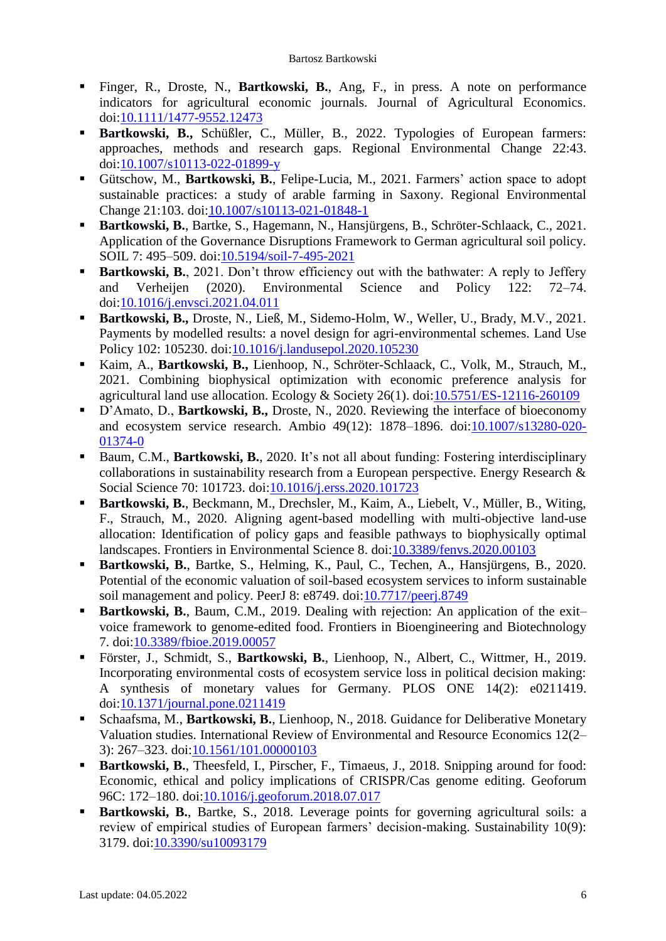- Finger, R., Droste, N., **Bartkowski, B.**, Ang, F., in press. A note on performance indicators for agricultural economic journals. Journal of Agricultural Economics. doi[:10.1111/1477-9552.12473](https://doi.org/10.1111/1477-9552.12473)
- **Bartkowski, B.,** Schüßler, C., Müller, B., 2022. Typologies of European farmers: approaches, methods and research gaps. Regional Environmental Change 22:43. doi[:10.1007/s10113-022-01899-y](https://doi.org/10.1007/s10113-022-01899-y)
- Gütschow, M., **Bartkowski, B.**, Felipe-Lucia, M., 2021. Farmers' action space to adopt sustainable practices: a study of arable farming in Saxony. Regional Environmental Change 21:103. doi[:10.1007/s10113-021-01848-1](https://doi.org/10.1007/s10113-021-01848-1)
- **Bartkowski, B.**, Bartke, S., Hagemann, N., Hansjürgens, B., Schröter-Schlaack, C., 2021. Application of the Governance Disruptions Framework to German agricultural soil policy. SOIL 7: 495–509. doi[:10.5194/soil-7-495-2021](https://doi.org/10.5194/soil-7-495-2021)
- **Bartkowski, B.**, 2021. Don't throw efficiency out with the bathwater: A reply to Jeffery and Verheijen (2020). Environmental Science and Policy 122: 72–74. doi[:10.1016/j.envsci.2021.04.011](https://doi.org/10.1016/j.envsci.2021.04.011)
- **Bartkowski, B.,** Droste, N., Ließ, M., Sidemo-Holm, W., Weller, U., Brady, M.V., 2021. Payments by modelled results: a novel design for agri-environmental schemes. Land Use Policy 102: 105230. doi[:10.1016/j.landusepol.2020.105230](https://doi.org/10.1016/j.landusepol.2020.105230)
- Kaim, A., **Bartkowski, B.,** Lienhoop, N., Schröter-Schlaack, C., Volk, M., Strauch, M., 2021. Combining biophysical optimization with economic preference analysis for agricultural land use allocation. Ecology & Society 26(1). doi[:10.5751/ES-12116-260109](https://doi.org/10.5751/ES-12116-260109)
- D'Amato, D., **Bartkowski, B.,** Droste, N., 2020. Reviewing the interface of bioeconomy and ecosystem service research. Ambio 49(12): 1878–1896. doi[:10.1007/s13280-020-](https://doi.org/10.1007/s13280-020-01374-0) [01374-0](https://doi.org/10.1007/s13280-020-01374-0)
- Baum, C.M., **Bartkowski, B.**, 2020. It's not all about funding: Fostering interdisciplinary collaborations in sustainability research from a European perspective. Energy Research & Social Science 70: 101723. doi[:10.1016/j.erss.2020.101723](https://doi.org/10.1016/j.erss.2020.101723)
- **Bartkowski, B.**, Beckmann, M., Drechsler, M., Kaim, A., Liebelt, V., Müller, B., Witing, F., Strauch, M., 2020. Aligning agent-based modelling with multi-objective land-use allocation: Identification of policy gaps and feasible pathways to biophysically optimal landscapes. Frontiers in Environmental Science 8. doi[:10.3389/fenvs.2020.00103](https://doi.org/10.3389/fenvs.2020.00103)
- **Bartkowski, B.**, Bartke, S., Helming, K., Paul, C., Techen, A., Hansjürgens, B., 2020. Potential of the economic valuation of soil-based ecosystem services to inform sustainable soil management and policy. PeerJ 8: e8749. doi[:10.7717/peerj.8749](https://peerj.com/articles/8749)
- **Bartkowski, B.**, Baum, C.M., 2019. Dealing with rejection: An application of the exit– voice framework to genome-edited food. Frontiers in Bioengineering and Biotechnology 7. doi[:10.3389/fbioe.2019.00057](https://doi.org/10.3389/fbioe.2019.00057)
- Förster, J., Schmidt, S., **Bartkowski, B.**, Lienhoop, N., Albert, C., Wittmer, H., 2019. Incorporating environmental costs of ecosystem service loss in political decision making: A synthesis of monetary values for Germany. PLOS ONE 14(2): e0211419. doi[:10.1371/journal.pone.0211419](https://doi.org/10.1371/journal.pone.0211419)
- Schaafsma, M., **Bartkowski, B.**, Lienhoop, N., 2018. Guidance for Deliberative Monetary Valuation studies. International Review of Environmental and Resource Economics 12(2– 3): 267–323. doi[:10.1561/101.00000103](http://doi.org/10.1561/101.00000103)
- **Bartkowski, B.**, Theesfeld, I., Pirscher, F., Timaeus, J., 2018. Snipping around for food: Economic, ethical and policy implications of CRISPR/Cas genome editing. Geoforum 96C: 172-180. doi: 10.1016/j.geoforum.2018.07.017
- **Bartkowski, B.**, Bartke, S., 2018. Leverage points for governing agricultural soils: a review of empirical studies of European farmers' decision-making. Sustainability 10(9): 3179. doi[:10.3390/su10093179](http://doi.org/10.3390/su10093179)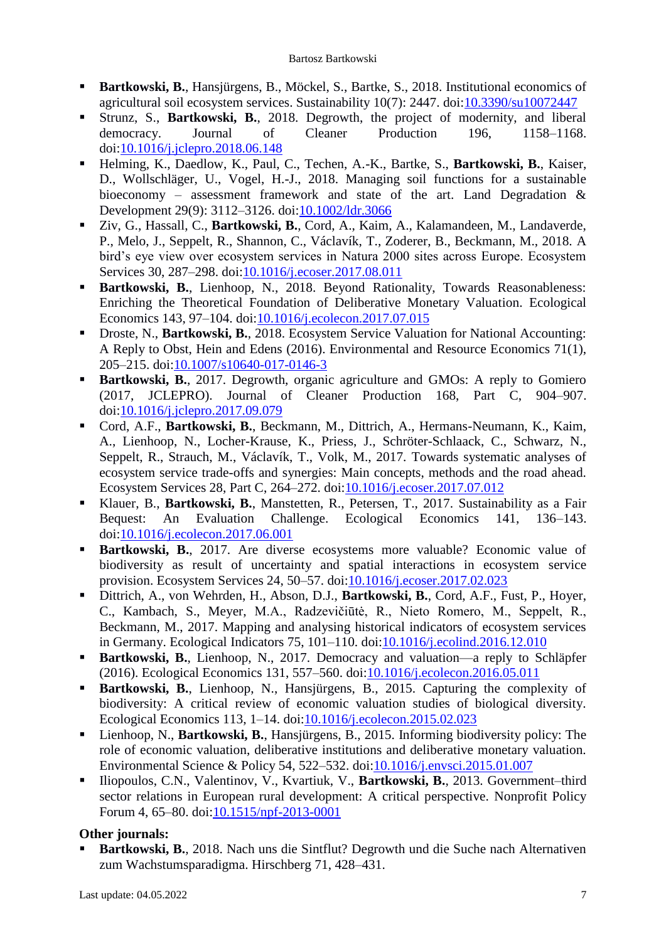- **Bartkowski, B.**, Hansjürgens, B., Möckel, S., Bartke, S., 2018. Institutional economics of agricultural soil ecosystem services. Sustainability 10(7): 2447. doi[:10.3390/su10072447](https://doi.org/10.3390/su10072447)
- Strunz, S., **Bartkowski, B.**, 2018. Degrowth, the project of modernity, and liberal democracy. Journal of Cleaner Production 196, 1158–1168. doi[:10.1016/j.jclepro.2018.06.148](https://doi.org/10.1016/j.jclepro.2018.06.148)
- Helming, K., Daedlow, K., Paul, C., Techen, A.-K., Bartke, S., **Bartkowski, B.**, Kaiser, D., Wollschläger, U., Vogel, H.-J., 2018. Managing soil functions for a sustainable bioeconomy – assessment framework and state of the art. Land Degradation & Development 29(9): 3112–3126. doi[:10.1002/ldr.3066](https://doi.org/10.1002/ldr.3066)
- Ziv, G., Hassall, C., **Bartkowski, B.**, Cord, A., Kaim, A., Kalamandeen, M., Landaverde, P., Melo, J., Seppelt, R., Shannon, C., Václavík, T., Zoderer, B., Beckmann, M., 2018. A bird's eye view over ecosystem services in Natura 2000 sites across Europe. Ecosystem Services 30, 287–298. doi[:10.1016/j.ecoser.2017.08.011](https://doi.org/10.1016/j.ecoser.2017.08.011)
- **Bartkowski, B.**, Lienhoop, N., 2018. Beyond Rationality, Towards Reasonableness: Enriching the Theoretical Foundation of Deliberative Monetary Valuation. Ecological Economics 143, 97–104. doi[:10.1016/j.ecolecon.2017.07.015](https://doi.org/10.1016/j.ecolecon.2017.07.015)
- Droste, N., **Bartkowski, B.**, 2018. Ecosystem Service Valuation for National Accounting: A Reply to Obst, Hein and Edens (2016). Environmental and Resource Economics 71(1), 205–215. doi[:10.1007/s10640-017-0146-3](https://doi.org/10.1007/s10640-017-0146-3)
- **Bartkowski, B.**, 2017. Degrowth, organic agriculture and GMOs: A reply to Gomiero (2017, JCLEPRO). Journal of Cleaner Production 168, Part C, 904–907. doi[:10.1016/j.jclepro.2017.09.079](https://doi.org/10.1016/j.jclepro.2017.09.079)
- Cord, A.F., **Bartkowski, B.**, Beckmann, M., Dittrich, A., Hermans-Neumann, K., Kaim, A., Lienhoop, N., Locher-Krause, K., Priess, J., Schröter-Schlaack, C., Schwarz, N., Seppelt, R., Strauch, M., Václavík, T., Volk, M., 2017. Towards systematic analyses of ecosystem service trade-offs and synergies: Main concepts, methods and the road ahead. Ecosystem Services 28, Part C, 264–272. doi[:10.1016/j.ecoser.2017.07.012](https://doi.org/10.1016/j.ecoser.2017.07.012)
- Klauer, B., **Bartkowski, B.**, Manstetten, R., Petersen, T., 2017. Sustainability as a Fair Bequest: An Evaluation Challenge. Ecological Economics 141, 136–143. doi[:10.1016/j.ecolecon.2017.06.001](https://doi.org/10.1016/j.ecolecon.2017.06.001)
- **Bartkowski, B.**, 2017. Are diverse ecosystems more valuable? Economic value of biodiversity as result of uncertainty and spatial interactions in ecosystem service provision. Ecosystem Services 24, 50–57. doi[:10.1016/j.ecoser.2017.02.023](https://doi.org/10.1016/j.ecoser.2017.02.023)
- Dittrich, A., von Wehrden, H., Abson, D.J., **Bartkowski, B.**, Cord, A.F., Fust, P., Hoyer, C., Kambach, S., Meyer, M.A., Radzevičiūtė, R., Nieto Romero, M., Seppelt, R., Beckmann, M., 2017. Mapping and analysing historical indicators of ecosystem services in Germany. Ecological Indicators 75, 101–110. doi[:10.1016/j.ecolind.2016.12.010](https://doi.org/10.1016/j.ecolind.2016.12.010)
- **Bartkowski, B.**, Lienhoop, N., 2017. Democracy and valuation—a reply to Schläpfer (2016). Ecological Economics 131, 557–560. doi[:10.1016/j.ecolecon.2016.05.011](https://doi.org/10.1016/j.ecolecon.2016.05.011)
- **Bartkowski, B.**, Lienhoop, N., Hansjürgens, B., 2015. Capturing the complexity of biodiversity: A critical review of economic valuation studies of biological diversity. Ecological Economics 113, 1–14. doi[:10.1016/j.ecolecon.2015.02.023](https://doi.org/10.1016/j.ecolecon.2015.02.023)
- Lienhoop, N., **Bartkowski, B.**, Hansjürgens, B., 2015. Informing biodiversity policy: The role of economic valuation, deliberative institutions and deliberative monetary valuation. Environmental Science & Policy 54, 522–532. doi[:10.1016/j.envsci.2015.01.007](https://doi.org/10.1016/j.envsci.2015.01.007)
- Iliopoulos, C.N., Valentinov, V., Kvartiuk, V., Bartkowski, B., 2013. Government–third sector relations in European rural development: A critical perspective. Nonprofit Policy Forum 4, 65–80. doi[:10.1515/npf-2013-0001](https://doi.org/10.1515/npf-2013-0001)

# **Other journals:**

 **Bartkowski, B.**, 2018. Nach uns die Sintflut? Degrowth und die Suche nach Alternativen zum Wachstumsparadigma. Hirschberg 71, 428–431.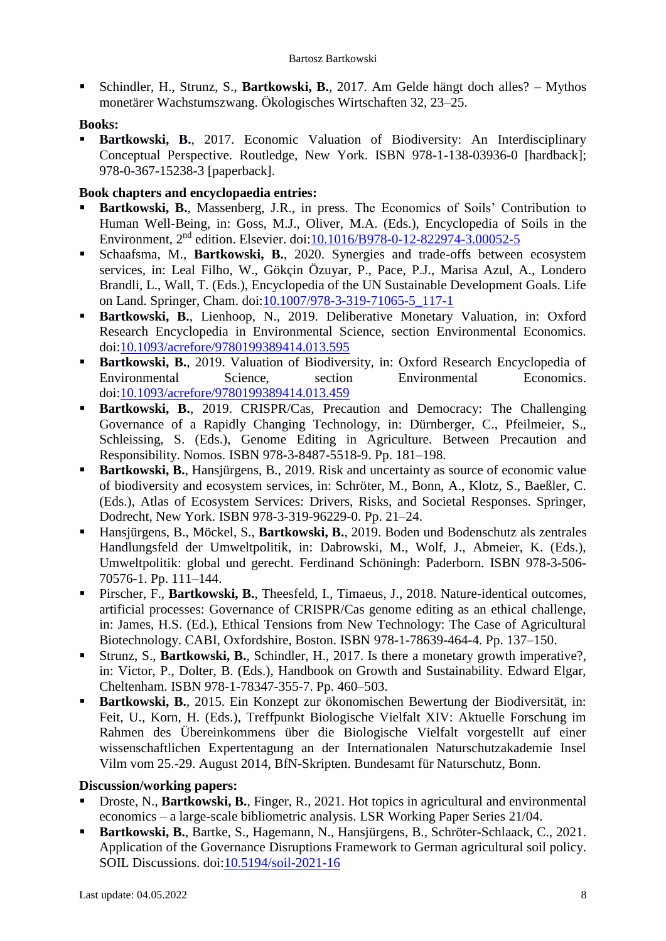Schindler, H., Strunz, S., **Bartkowski, B.**, 2017. Am Gelde hängt doch alles? – Mythos monetärer Wachstumszwang. Ökologisches Wirtschaften 32, 23–25.

#### **Books:**

 **Bartkowski, B.**, 2017. Economic Valuation of Biodiversity: An Interdisciplinary Conceptual Perspective. Routledge, New York. ISBN 978-1-138-03936-0 [hardback]; 978-0-367-15238-3 [paperback].

#### **Book chapters and encyclopaedia entries:**

- **Bartkowski, B.**, Massenberg, J.R., in press. The Economics of Soils' Contribution to Human Well-Being, in: Goss, M.J., Oliver, M.A. (Eds.), Encyclopedia of Soils in the Environment, 2nd edition. Elsevier. doi[:10.1016/B978-0-12-822974-3.00052-5](https://doi.org/10.1016/B978-0-12-822974-3.00052-5)
- Schaafsma, M., **Bartkowski, B.**, 2020. Synergies and trade-offs between ecosystem services, in: Leal Filho, W., Gökçin Özuyar, P., Pace, P.J., Marisa Azul, A., Londero Brandli, L., Wall, T. (Eds.), Encyclopedia of the UN Sustainable Development Goals. Life on Land. Springer, Cham. doi[:10.1007/978-3-319-71065-5\\_117-1](https://doi.org/10.1007/978-3-319-71065-5_117-1)
- **Bartkowski, B.**, Lienhoop, N., 2019. Deliberative Monetary Valuation, in: Oxford Research Encyclopedia in Environmental Science, section Environmental Economics. doi[:10.1093/acrefore/9780199389414.013.595](https://doi.org/10.1093/acrefore/9780199389414.013.595)
- **Bartkowski, B.**, 2019. Valuation of Biodiversity, in: Oxford Research Encyclopedia of Environmental Science, section Environmental Economics. doi[:10.1093/acrefore/9780199389414.013.459](https://doi.org/10.1093/acrefore/9780199389414.013.459)
- **Bartkowski, B.**, 2019. CRISPR/Cas, Precaution and Democracy: The Challenging Governance of a Rapidly Changing Technology, in: Dürnberger, C., Pfeilmeier, S., Schleissing, S. (Eds.), Genome Editing in Agriculture. Between Precaution and Responsibility. Nomos. ISBN 978-3-8487-5518-9. Pp. 181–198.
- **Bartkowski, B.**, Hansjürgens, B., 2019. Risk and uncertainty as source of economic value of biodiversity and ecosystem services, in: Schröter, M., Bonn, A., Klotz, S., Baeßler, C. (Eds.), Atlas of Ecosystem Services: Drivers, Risks, and Societal Responses. Springer, Dodrecht, New York. ISBN 978-3-319-96229-0. Pp. 21–24.
- Hansjürgens, B., Möckel, S., **Bartkowski, B.**, 2019. Boden und Bodenschutz als zentrales Handlungsfeld der Umweltpolitik, in: Dabrowski, M., Wolf, J., Abmeier, K. (Eds.), Umweltpolitik: global und gerecht. Ferdinand Schöningh: Paderborn. ISBN 978-3-506- 70576-1. Pp. 111–144.
- Pirscher, F., **Bartkowski, B.**, Theesfeld, I., Timaeus, J., 2018. Nature-identical outcomes, artificial processes: Governance of CRISPR/Cas genome editing as an ethical challenge, in: James, H.S. (Ed.), Ethical Tensions from New Technology: The Case of Agricultural Biotechnology. CABI, Oxfordshire, Boston. ISBN 978-1-78639-464-4. Pp. 137–150.
- Strunz, S., **Bartkowski, B.**, Schindler, H., 2017. Is there a monetary growth imperative?, in: Victor, P., Dolter, B. (Eds.), Handbook on Growth and Sustainability. Edward Elgar, Cheltenham. ISBN 978-1-78347-355-7. Pp. 460–503.
- **Bartkowski, B.**, 2015. Ein Konzept zur ökonomischen Bewertung der Biodiversität, in: Feit, U., Korn, H. (Eds.), Treffpunkt Biologische Vielfalt XIV: Aktuelle Forschung im Rahmen des Übereinkommens über die Biologische Vielfalt vorgestellt auf einer wissenschaftlichen Expertentagung an der Internationalen Naturschutzakademie Insel Vilm vom 25.-29. August 2014, BfN-Skripten. Bundesamt für Naturschutz, Bonn.

#### **Discussion/working papers:**

- Droste, N., **Bartkowski, B.**, Finger, R., 2021. Hot topics in agricultural and environmental economics – a large-scale bibliometric analysis. LSR Working Paper Series 21/04.
- **Bartkowski, B.**, Bartke, S., Hagemann, N., Hansjürgens, B., Schröter-Schlaack, C., 2021. Application of the Governance Disruptions Framework to German agricultural soil policy. SOIL Discussions. doi[:10.5194/soil-2021-16](https://doi.org/10.5194/soil-2021-16)